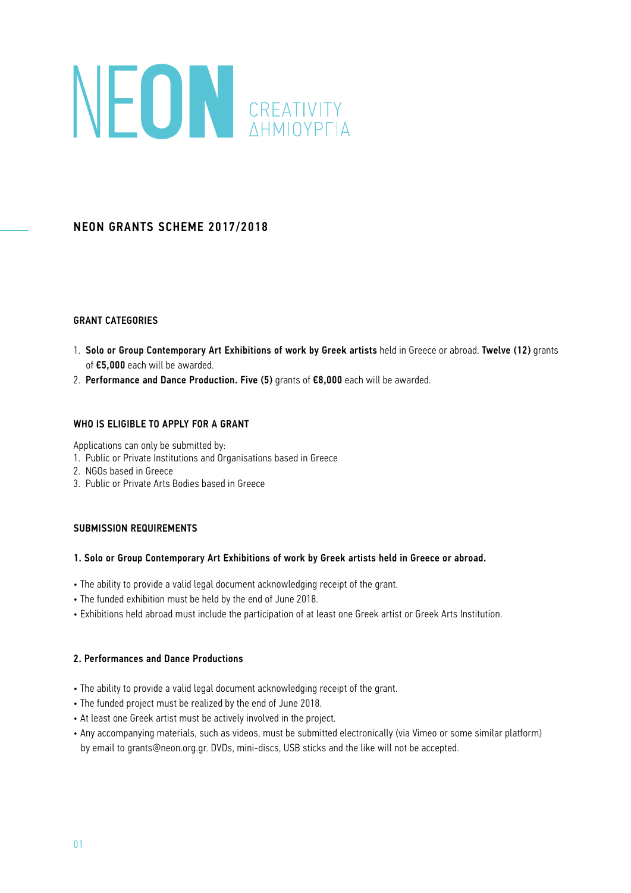# NEON CREATIVITY

# NEON GRANTS SCHEME 2017/2018

#### GRANT CATEGORIES

- 1. Solo or Group Contemporary Art Exhibitions of work by Greek artists held in Greece or abroad. Twelve (12) grants of €5,000 each will be awarded.
- 2. Performance and Dance Production. Five (5) grants of €8,000 each will be awarded.

### WHO IS ELIGIBLE TO APPLY FOR A GRANT

Applications can only be submitted by:

- 1. Public or Private Institutions and Organisations based in Greece
- 2. NGOs based in Greece
- 3. Public or Private Arts Bodies based in Greece

## SUBMISSION REQUIREMENTS

#### 1. Solo or Group Contemporary Art Exhibitions of work by Greek artists held in Greece or abroad.

- The ability to provide a valid legal document acknowledging receipt of the grant.
- The funded exhibition must be held by the end of June 2018.
- Exhibitions held abroad must include the participation of at least one Greek artist or Greek Arts Institution.

#### 2. Performances and Dance Productions

- The ability to provide a valid legal document acknowledging receipt of the grant.
- The funded project must be realized by the end of June 2018.
- At least one Greek artist must be actively involved in the project.
- Any accompanying materials, such as videos, must be submitted electronically (via Vimeo or some similar platform) by email to grants@neon.org.gr. DVDs, mini-discs, USB sticks and the like will not be accepted.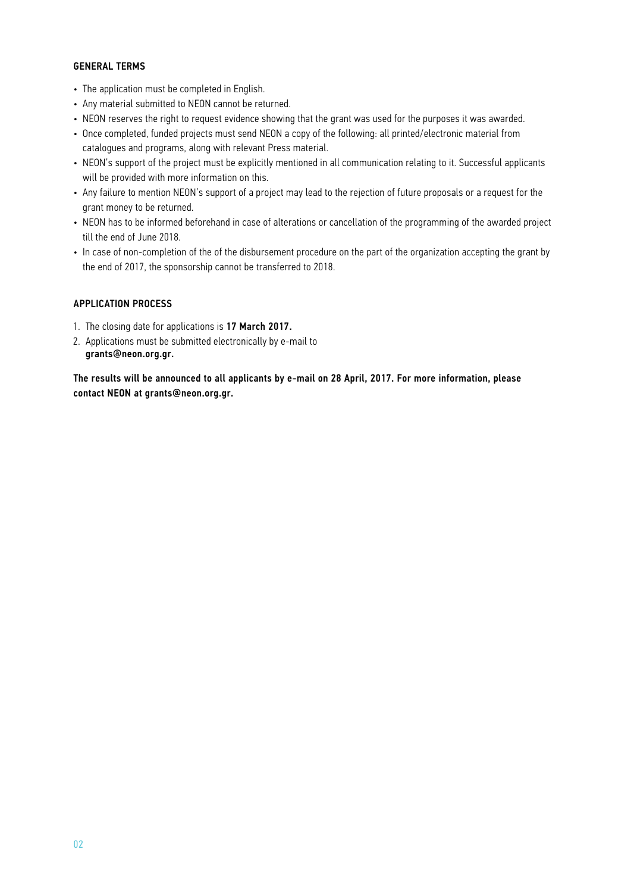#### GENERAL TERMS

- The application must be completed in English.
- Any material submitted to NEON cannot be returned.
- NEON reserves the right to request evidence showing that the grant was used for the purposes it was awarded.
- Once completed, funded projects must send NEON a copy of the following: all printed/electronic material from catalogues and programs, along with relevant Press material.
- NEON's support of the project must be explicitly mentioned in all communication relating to it. Successful applicants will be provided with more information on this.
- Any failure to mention NEON's support of a project may lead to the rejection of future proposals or a request for the grant money to be returned.
- NEON has to be informed beforehand in case of alterations or cancellation of the programming of the awarded project till the end of June 2018.
- In case of non-completion of the of the disbursement procedure on the part of the organization accepting the grant by the end of 2017, the sponsorship cannot be transferred to 2018.

#### APPLICATION PROCESS

- 1. The closing date for applications is 17 March 2017.
- 2. Applications must be submitted electronically by e-mail to grants@neon.org.gr.

The results will be announced to all applicants by e-mail on 28 April, 2017. For more information, please contact NEON at grants@neon.org.gr.